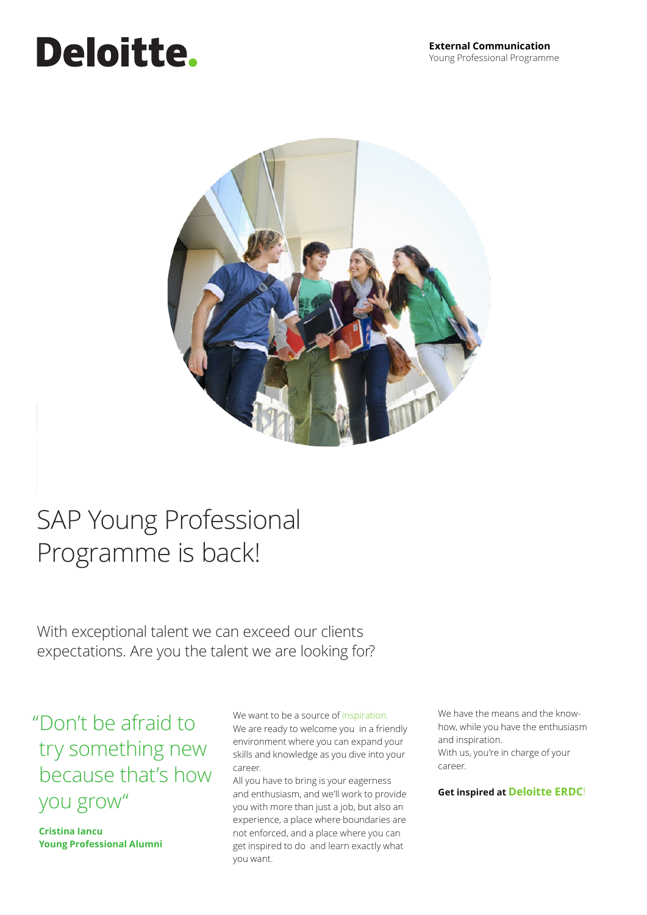# **Deloitte.**



## SAP Young Professional Programme is back! Programme is back!

With exceptional talent we can exceed our clients expectations. Are you the talent we are looking for?

### "Don't be afraid to "Don't be afraid to try something new try something new because that's how because that's how you grow" you grow"

**Cristina Iancu Cristina Iancu Young Professional Alumni** 

We are ready to welcome you in a friendly environment where you can expand your skills and knowledge as you dive into your skills and knowledge as you dive into the into  $\sim$ We want to be a source of inspiration.

All you have to bring is your eagerness and enthusiasm, and we'll work to provide you with more than just a job, but also an experience, a place where boundaries are not enforced, and a place where you can get inspired to do and learn exactly what you want.

how, while you have the enthusiasm and inspiration. With us, you're in charge of your career. career. We have the means and the know-

**Get inspired at Deloitte ERDC**!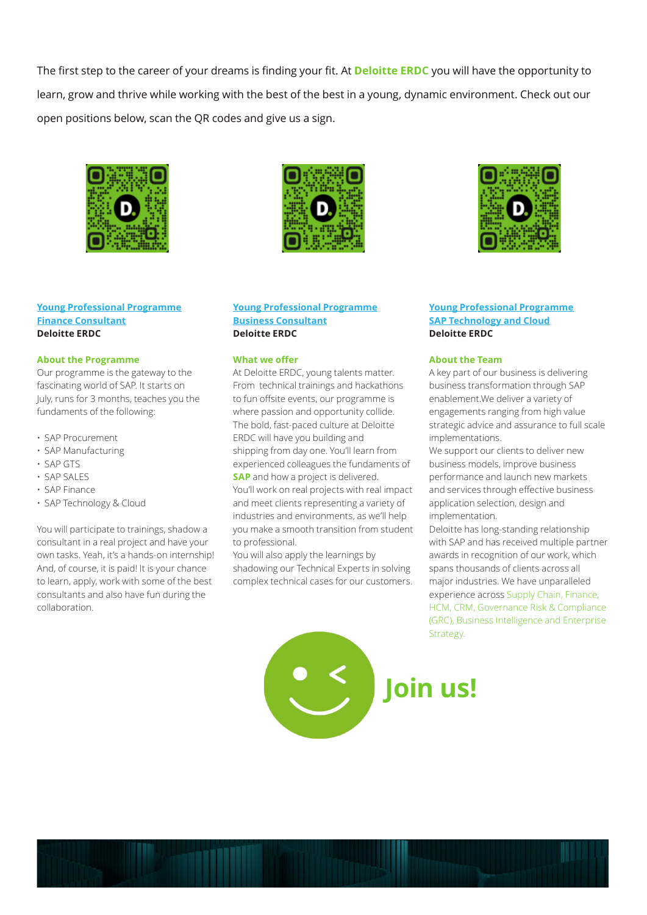The first step to the career of your dreams is finding your fit. At **Deloitte ERDC** you will have the opportunity to learn, grow and thrive while working with the best of the best in a young, dynamic environment. Check out our open positions below, scan the QR codes and give us a sign.



#### **[Young Professional Programme](https://ro.career.deloittece.com/job-posting/5303/Internship---Finance-Consultant-(SAP-Technology)-%7C-European-Regional-Delivery-Center-(ERDC)) [Finance Consultant](https://ro.career.deloittece.com/job-posting/5303/Internship---Finance-Consultant-(SAP-Technology)-%7C-European-Regional-Delivery-Center-(ERDC)) Deloitte ERDC**

#### **About the Programme**

Our programme is the gateway to the fascinating world of SAP. It starts on July, runs for 3 months, teaches you the fundaments of the following:

- SAP Procurement
- SAP Manufacturing
- SAP GTS
- SAP SALES
- SAP Finance
- SAP Technology & Cloud

You will participate to trainings, shadow a consultant in a real project and have your own tasks. Yeah, it's a hands-on internship! And, of course, it is paid! It is your chance to learn, apply, work with some of the best consultants and also have fun during the collaboration.



#### **[Young Professional Programme](https://ro.career.deloittece.com/job-posting/5305/Internship---Business-Consultant-(SAP-Technology)-%7C-European-Regional-Delivery-Center-(ERDC)) [Business Consultant](https://ro.career.deloittece.com/job-posting/5305/Internship---Business-Consultant-(SAP-Technology)-%7C-European-Regional-Delivery-Center-(ERDC)) Deloitte ERDC**

#### **What we offer**

At Deloitte ERDC, young talents matter. From technical trainings and hackathons to fun offsite events, our programme is where passion and opportunity collide. The bold, fast-paced culture at Deloitte ERDC will have you building and shipping from day one. You'll learn from experienced colleagues the fundaments of **SAP** and how a project is delivered. You'll work on real projects with real impact and meet clients representing a variety of industries and environments, as we'll help you make a smooth transition from student to professional.

You will also apply the learnings by shadowing our Technical Experts in solving complex technical cases for our customers.

magna ate tat, vendigna conulputat.



#### **[Young Professional Programme](https://ro.career.deloittece.com/job-posting/5560/Young-Professional-Programme---Technology-and-Cloud-%7C-European-Regional-Delivery-Center-(ERDC)) [SAP Technology and Cloud](https://ro.career.deloittece.com/job-posting/5560/Young-Professional-Programme---Technology-and-Cloud-%7C-European-Regional-Delivery-Center-(ERDC)) Deloitte ERDC**

#### **About the Team**

A key part of our business is delivering business transformation through SAP enablement.We deliver a variety of engagements ranging from high value strategic advice and assurance to full scale implementations.

We support our clients to deliver new business models, improve business performance and launch new markets and services through effective business application selection, design and implementation.

Deloitte has long-standing relationship with SAP and has received multiple partner awards in recognition of our work, which spans thousands of clients across all major industries. We have unparalleled experience across Supply Chain, Finance, HCM, CRM, Governance Risk & Compliance (GRC), Business Intelligence and Enterprise Strategy.



[Click here for more information about the **[DTTL Language & Style Guide](https://global.deloitteresources.com/aboutglbl/bcom/comm/toolsres/Documents/dtt_style_guide.pdf)**]